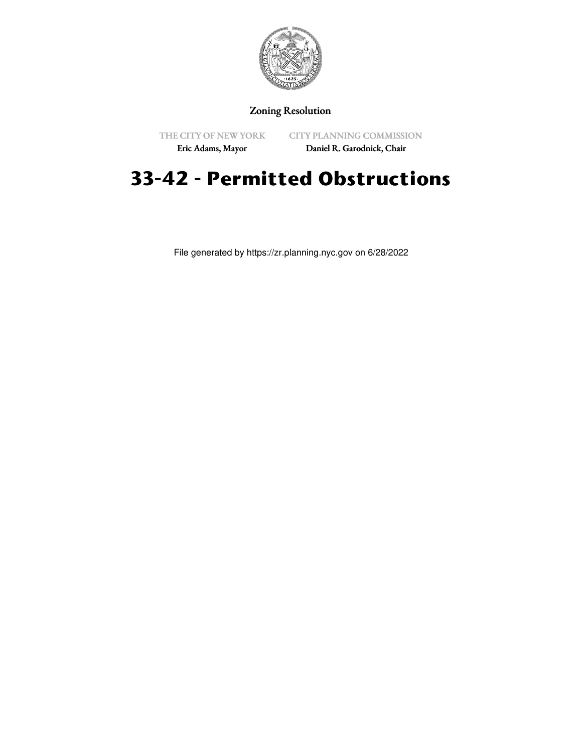

## Zoning Resolution

THE CITY OF NEW YORK

CITY PLANNING COMMISSION

Eric Adams, Mayor

Daniel R. Garodnick, Chair

## **33-42 - Permitted Obstructions**

File generated by https://zr.planning.nyc.gov on 6/28/2022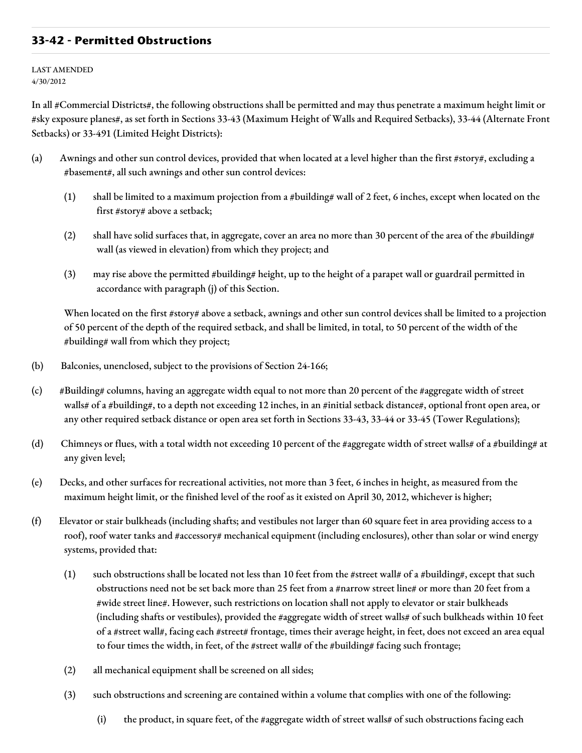## **33-42 - Permitted Obstructions**

LAST AMENDED 4/30/2012

In all #Commercial Districts#, the following obstructions shall be permitted and may thus penetrate a maximum height limit or #sky exposure planes#, as set forth in Sections 33-43 (Maximum Height of Walls and Required Setbacks), 33-44 (Alternate Front Setbacks) or 33-491 (Limited Height Districts):

- (a) Awnings and other sun control devices, provided that when located at a level higher than the first #story#, excluding a #basement#, all such awnings and other sun control devices:
	- (1) shall be limited to a maximum projection from a #building# wall of 2 feet, 6 inches, except when located on the first #story# above a setback;
	- (2) shall have solid surfaces that, in aggregate, cover an area no more than 30 percent of the area of the #building# wall (as viewed in elevation) from which they project; and
	- (3) may rise above the permitted #building# height, up to the height of a parapet wall or guardrail permitted in accordance with paragraph (j) of this Section.

When located on the first #story# above a setback, awnings and other sun control devices shall be limited to a projection of 50 percent of the depth of the required setback, and shall be limited, in total, to 50 percent of the width of the #building# wall from which they project;

- (b) Balconies, unenclosed, subject to the provisions of Section 24-166;
- (c) #Building# columns, having an aggregate width equal to not more than 20 percent of the #aggregate width of street walls# of a #building#, to a depth not exceeding 12 inches, in an #initial setback distance#, optional front open area, or any other required setback distance or open area set forth in Sections 33-43, 33-44 or 33-45 (Tower Regulations);
- (d) Chimneys or flues, with a total width not exceeding 10 percent of the #aggregate width of street walls# of a #building# at any given level;
- (e) Decks, and other surfaces for recreational activities, not more than 3 feet, 6 inches in height, as measured from the maximum height limit, or the finished level of the roof as it existed on April 30, 2012, whichever is higher;
- (f) Elevator or stair bulkheads (including shafts; and vestibules not larger than 60 square feet in area providing access to a roof), roof water tanks and #accessory# mechanical equipment (including enclosures), other than solar or wind energy systems, provided that:
	- (1) such obstructions shall be located not less than 10 feet from the #street wall# of a #building#, except that such obstructions need not be set back more than 25 feet from a #narrow street line# or more than 20 feet from a #wide street line#. However, such restrictions on location shall not apply to elevator or stair bulkheads (including shafts or vestibules), provided the #aggregate width of street walls# of such bulkheads within 10 feet of a #street wall#, facing each #street# frontage, times their average height, in feet, does not exceed an area equal to four times the width, in feet, of the #street wall# of the #building# facing such frontage;
	- (2) all mechanical equipment shall be screened on all sides;
	- (3) such obstructions and screening are contained within a volume that complies with one of the following:
		- (i) the product, in square feet, of the #aggregate width of street walls# of such obstructions facing each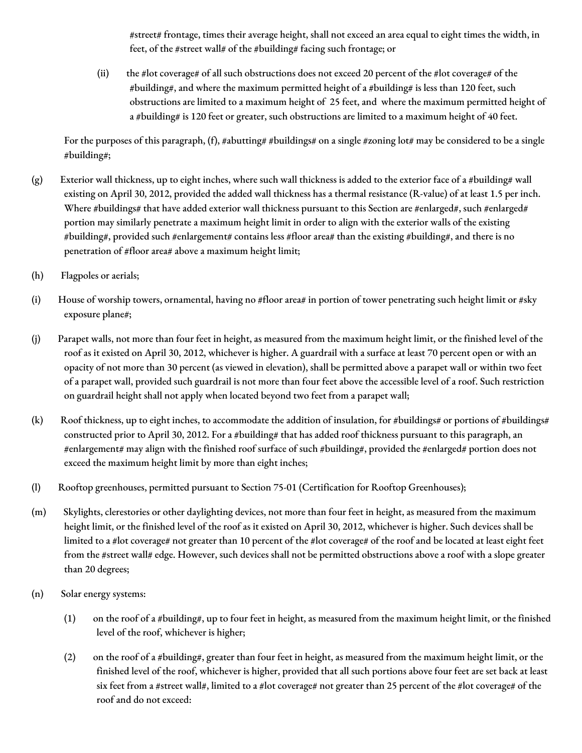#street# frontage, times their average height, shall not exceed an area equal to eight times the width, in feet, of the #street wall# of the #building# facing such frontage; or

(ii) the #lot coverage# of all such obstructions does not exceed 20 percent of the #lot coverage# of the #building#, and where the maximum permitted height of a #building# is less than 120 feet, such obstructions are limited to a maximum height of 25 feet, and where the maximum permitted height of a #building# is 120 feet or greater, such obstructions are limited to a maximum height of 40 feet.

For the purposes of this paragraph, (f), #abutting# #buildings# on a single #zoning lot# may be considered to be a single #building#;

- (g) Exterior wall thickness, up to eight inches, where such wall thickness is added to the exterior face of a #building# wall existing on April 30, 2012, provided the added wall thickness has a thermal resistance (R-value) of at least 1.5 per inch. Where #buildings# that have added exterior wall thickness pursuant to this Section are #enlarged#, such #enlarged# portion may similarly penetrate a maximum height limit in order to align with the exterior walls of the existing #building#, provided such #enlargement# contains less #floor area# than the existing #building#, and there is no penetration of #floor area# above a maximum height limit;
- (h) Flagpoles or aerials;
- (i) House of worship towers, ornamental, having no #floor area# in portion of tower penetrating such height limit or #sky exposure plane#;
- (j) Parapet walls, not more than four feet in height, as measured from the maximum height limit, or the finished level of the roof as it existed on April 30, 2012, whichever is higher. A guardrail with a surface at least 70 percent open or with an opacity of not more than 30 percent (as viewed in elevation), shall be permitted above a parapet wall or within two feet of a parapet wall, provided such guardrail is not more than four feet above the accessible level of a roof. Such restriction on guardrail height shall not apply when located beyond two feet from a parapet wall;
- (k) Roof thickness, up to eight inches, to accommodate the addition of insulation, for #buildings# or portions of #buildings# constructed prior to April 30, 2012. For a #building# that has added roof thickness pursuant to this paragraph, an #enlargement# may align with the finished roof surface of such #building#, provided the #enlarged# portion does not exceed the maximum height limit by more than eight inches;
- (l) Rooftop greenhouses, permitted pursuant to Section 75-01 (Certification for Rooftop Greenhouses);
- (m) Skylights, clerestories or other daylighting devices, not more than four feet in height, as measured from the maximum height limit, or the finished level of the roof as it existed on April 30, 2012, whichever is higher. Such devices shall be limited to a #lot coverage# not greater than 10 percent of the #lot coverage# of the roof and be located at least eight feet from the #street wall# edge. However, such devices shall not be permitted obstructions above a roof with a slope greater than 20 degrees;
- (n) Solar energy systems:
	- (1) on the roof of a #building#, up to four feet in height, as measured from the maximum height limit, or the finished level of the roof, whichever is higher;
	- (2) on the roof of a #building#, greater than four feet in height, as measured from the maximum height limit, or the finished level of the roof, whichever is higher, provided that all such portions above four feet are set back at least six feet from a #street wall#, limited to a #lot coverage# not greater than 25 percent of the #lot coverage# of the roof and do not exceed: